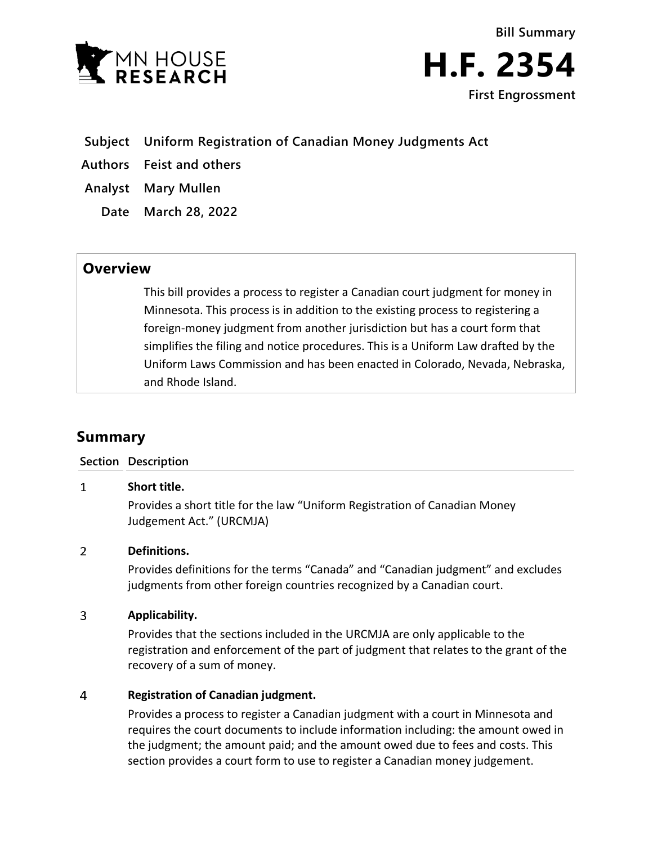



- **Subject Uniform Registration of Canadian Money Judgments Act**
- **Authors Feist and others**
- **Analyst Mary Mullen**
	- **Date March 28, 2022**

## **Overview**

This bill provides a process to register a Canadian court judgment for money in Minnesota. This process is in addition to the existing process to registering a foreign-money judgment from another jurisdiction but has a court form that simplifies the filing and notice procedures. This is a Uniform Law drafted by the Uniform Laws Commission and has been enacted in Colorado, Nevada, Nebraska, and Rhode Island.

# **Summary**

### **Section Description**

#### $\mathbf{1}$ **Short title.**

Provides a short title for the law "Uniform Registration of Canadian Money Judgement Act." (URCMJA)

#### $\overline{2}$ **Definitions.**

Provides definitions for the terms "Canada" and "Canadian judgment" and excludes judgments from other foreign countries recognized by a Canadian court.

#### $\overline{3}$ **Applicability.**

Provides that the sections included in the URCMJA are only applicable to the registration and enforcement of the part of judgment that relates to the grant of the recovery of a sum of money.

#### $\overline{4}$ **Registration of Canadian judgment.**

Provides a process to register a Canadian judgment with a court in Minnesota and requires the court documents to include information including: the amount owed in the judgment; the amount paid; and the amount owed due to fees and costs. This section provides a court form to use to register a Canadian money judgement.